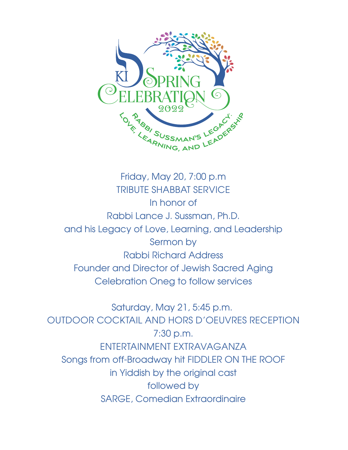

Friday, May 20, 7:00 p.m TRIBUTE SHABBAT SERVICE In honor of Rabbi Lance J. Sussman, Ph.D. and his Legacy of Love, Learning, and Leadership Sermon by Rabbi Richard Address Founder and Director of Jewish Sacred Aging Celebration Oneg to follow services

Saturday, May 21, 5:45 p.m. OUTDOOR COCKTAIL AND HORS D'OEUVRES RECEPTION 7:30 p.m. ENTERTAINMENT EXTRAVAGANZA Songs from off-Broadway hit FIDDLER ON THE ROOF in Yiddish by the original cast followed by SARGE, Comedian Extraordinaire